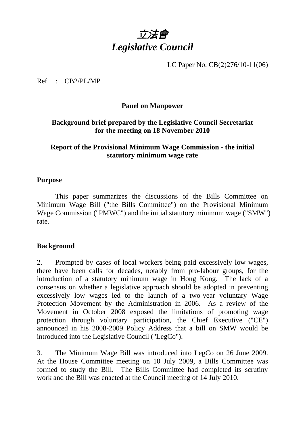

LC Paper No. CB(2)276/10-11(06)

Ref : CB2/PL/MP

### **Panel on Manpower**

# **Background brief prepared by the Legislative Council Secretariat for the meeting on 18 November 2010**

# **Report of the Provisional Minimum Wage Commission - the initial statutory minimum wage rate**

#### **Purpose**

1. This paper summarizes the discussions of the Bills Committee on Minimum Wage Bill ("the Bills Committee") on the Provisional Minimum Wage Commission ("PMWC") and the initial statutory minimum wage ("SMW") rate.

### **Background**

2. Prompted by cases of local workers being paid excessively low wages, there have been calls for decades, notably from pro-labour groups, for the introduction of a statutory minimum wage in Hong Kong. The lack of a consensus on whether a legislative approach should be adopted in preventing excessively low wages led to the launch of a two-year voluntary Wage Protection Movement by the Administration in 2006. As a review of the Movement in October 2008 exposed the limitations of promoting wage protection through voluntary participation, the Chief Executive ("CE") announced in his 2008-2009 Policy Address that a bill on SMW would be introduced into the Legislative Council ("LegCo").

3. The Minimum Wage Bill was introduced into LegCo on 26 June 2009. At the House Committee meeting on 10 July 2009, a Bills Committee was formed to study the Bill. The Bills Committee had completed its scrutiny work and the Bill was enacted at the Council meeting of 14 July 2010.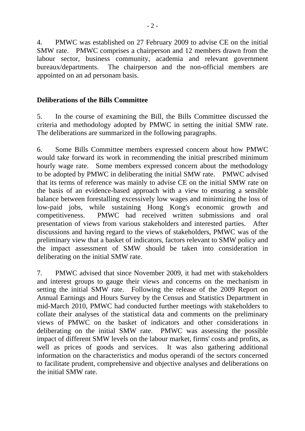4. PMWC was established on 27 February 2009 to advise CE on the initial SMW rate. PMWC comprises a chairperson and 12 members drawn from the labour sector, business community, academia and relevant government bureaux/departments. The chairperson and the non-official members are appointed on an ad personam basis.

# **Deliberations of the Bills Committee**

5. In the course of examining the Bill, the Bills Committee discussed the criteria and methodology adopted by PMWC in setting the initial SMW rate. The deliberations are summarized in the following paragraphs.

6. Some Bills Committee members expressed concern about how PMWC would take forward its work in recommending the initial prescribed minimum hourly wage rate. Some members expressed concern about the methodology to be adopted by PMWC in deliberating the initial SMW rate. PMWC advised that its terms of reference was mainly to advise CE on the initial SMW rate on the basis of an evidence-based approach with a view to ensuring a sensible balance between forestalling excessively low wages and minimizing the loss of low-paid jobs, while sustaining Hong Kong's economic growth and competitiveness. PMWC had received written submissions and oral presentation of views from various stakeholders and interested parties. After discussions and having regard to the views of stakeholders, PMWC was of the preliminary view that a basket of indicators, factors relevant to SMW policy and the impact assessment of SMW should be taken into consideration in deliberating on the initial SMW rate.

7. PMWC advised that since November 2009, it had met with stakeholders and interest groups to gauge their views and concerns on the mechanism in setting the initial SMW rate. Following the release of the 2009 Report on Annual Earnings and Hours Survey by the Census and Statistics Department in mid-March 2010, PMWC had conducted further meetings with stakeholders to collate their analyses of the statistical data and comments on the preliminary views of PMWC on the basket of indicators and other considerations in deliberating on the initial SMW rate. PMWC was assessing the possible impact of different SMW levels on the labour market, firms' costs and profits, as well as prices of goods and services. It was also gathering additional information on the characteristics and modus operandi of the sectors concerned to facilitate prudent, comprehensive and objective analyses and deliberations on the initial SMW rate.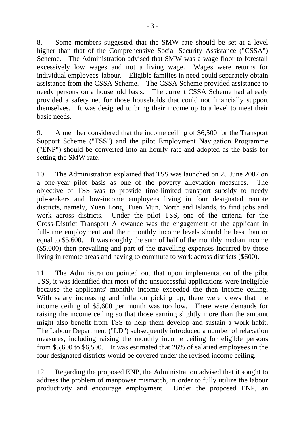8. Some members suggested that the SMW rate should be set at a level higher than that of the Comprehensive Social Security Assistance ("CSSA") Scheme. The Administration advised that SMW was a wage floor to forestall excessively low wages and not a living wage. Wages were returns for individual employees' labour. Eligible families in need could separately obtain assistance from the CSSA Scheme. The CSSA Scheme provided assistance to needy persons on a household basis. The current CSSA Scheme had already provided a safety net for those households that could not financially support themselves. It was designed to bring their income up to a level to meet their basic needs.

9. A member considered that the income ceiling of \$6,500 for the Transport Support Scheme ("TSS") and the pilot Employment Navigation Programme ("ENP") should be converted into an hourly rate and adopted as the basis for setting the SMW rate.

10. The Administration explained that TSS was launched on 25 June 2007 on a one-year pilot basis as one of the poverty alleviation measures. The objective of TSS was to provide time-limited transport subsidy to needy job-seekers and low-income employees living in four designated remote districts, namely, Yuen Long, Tuen Mun, North and Islands, to find jobs and work across districts. Under the pilot TSS, one of the criteria for the Cross-District Transport Allowance was the engagement of the applicant in full-time employment and their monthly income levels should be less than or equal to \$5,600. It was roughly the sum of half of the monthly median income (\$5,000) then prevailing and part of the travelling expenses incurred by those living in remote areas and having to commute to work across districts (\$600).

11. The Administration pointed out that upon implementation of the pilot TSS, it was identified that most of the unsuccessful applications were ineligible because the applicants' monthly income exceeded the then income ceiling. With salary increasing and inflation picking up, there were views that the income ceiling of \$5,600 per month was too low. There were demands for raising the income ceiling so that those earning slightly more than the amount might also benefit from TSS to help them develop and sustain a work habit. The Labour Department ("LD") subsequently introduced a number of relaxation measures, including raising the monthly income ceiling for eligible persons from \$5,600 to \$6,500. It was estimated that 26% of salaried employees in the four designated districts would be covered under the revised income ceiling.

12. Regarding the proposed ENP, the Administration advised that it sought to address the problem of manpower mismatch, in order to fully utilize the labour productivity and encourage employment. Under the proposed ENP, an